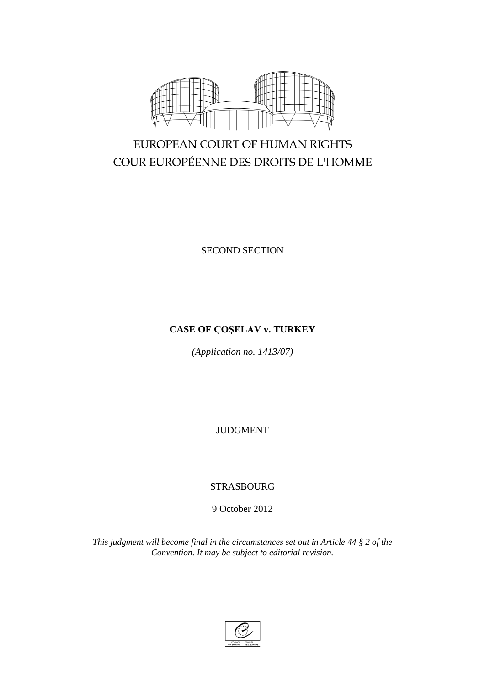

# EUROPEAN COURT OF HUMAN RIGHTS COUR EUROPÉENNE DES DROITS DE L'HOMME

SECOND SECTION

# **CASE OF ÇOŞELAV v. TURKEY**

*(Application no. 1413/07)*

JUDGMENT

# STRASBOURG

9 October 2012

*This judgment will become final in the circumstances set out in Article 44 § 2 of the Convention. It may be subject to editorial revision.*

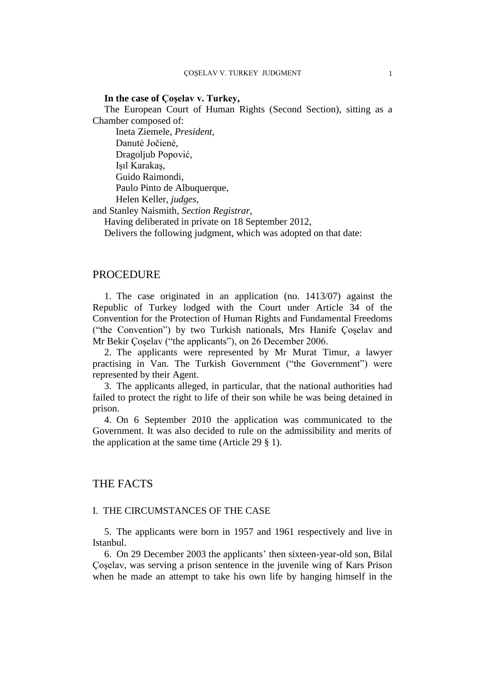# **In the case of Çoşelav v. Turkey,**

The European Court of Human Rights (Second Section), sitting as a Chamber composed of:

Ineta Ziemele, *President,* Danutė Jočienė, Dragoljub Popović, Işıl Karakaş, Guido Raimondi, Paulo Pinto de Albuquerque, Helen Keller, *judges,*

and Stanley Naismith, *Section Registrar,*

Having deliberated in private on 18 September 2012,

Delivers the following judgment, which was adopted on that date:

# PROCEDURE

1. The case originated in an application (no. 1413/07) against the Republic of Turkey lodged with the Court under Article 34 of the Convention for the Protection of Human Rights and Fundamental Freedoms ("the Convention") by two Turkish nationals, Mrs Hanife Çoşelav and Mr Bekir Çoşelav ("the applicants"), on 26 December 2006.

2. The applicants were represented by Mr Murat Timur, a lawyer practising in Van. The Turkish Government ("the Government") were represented by their Agent.

3. The applicants alleged, in particular, that the national authorities had failed to protect the right to life of their son while he was being detained in prison.

4. On 6 September 2010 the application was communicated to the Government. It was also decided to rule on the admissibility and merits of the application at the same time (Article 29 § 1).

# THE FACTS

#### I. THE CIRCUMSTANCES OF THE CASE

5. The applicants were born in 1957 and 1961 respectively and live in Istanbul.

6. On 29 December 2003 the applicants' then sixteen-year-old son, Bilal Çoşelav, was serving a prison sentence in the juvenile wing of Kars Prison when he made an attempt to take his own life by hanging himself in the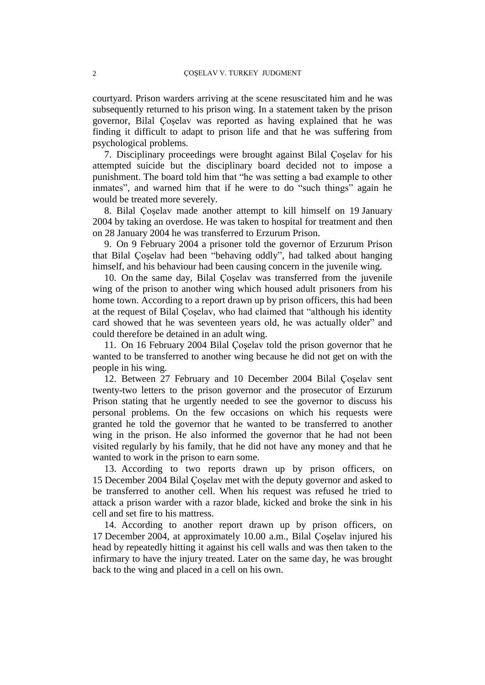courtyard. Prison warders arriving at the scene resuscitated him and he was subsequently returned to his prison wing. In a statement taken by the prison governor, Bilal Çoşelav was reported as having explained that he was finding it difficult to adapt to prison life and that he was suffering from psychological problems.

7. Disciplinary proceedings were brought against Bilal Çoşelav for his attempted suicide but the disciplinary board decided not to impose a punishment. The board told him that "he was setting a bad example to other inmates", and warned him that if he were to do "such things" again he would be treated more severely.

8. Bilal Çoşelav made another attempt to kill himself on 19 January 2004 by taking an overdose. He was taken to hospital for treatment and then on 28 January 2004 he was transferred to Erzurum Prison.

9. On 9 February 2004 a prisoner told the governor of Erzurum Prison that Bilal Çoşelav had been "behaving oddly", had talked about hanging himself, and his behaviour had been causing concern in the juvenile wing.

10. On the same day, Bilal Çoşelav was transferred from the juvenile wing of the prison to another wing which housed adult prisoners from his home town. According to a report drawn up by prison officers, this had been at the request of Bilal Çoşelav, who had claimed that "although his identity card showed that he was seventeen years old, he was actually older" and could therefore be detained in an adult wing.

11. On 16 February 2004 Bilal Çoşelav told the prison governor that he wanted to be transferred to another wing because he did not get on with the people in his wing.

12. Between 27 February and 10 December 2004 Bilal Çoşelav sent twenty-two letters to the prison governor and the prosecutor of Erzurum Prison stating that he urgently needed to see the governor to discuss his personal problems. On the few occasions on which his requests were granted he told the governor that he wanted to be transferred to another wing in the prison. He also informed the governor that he had not been visited regularly by his family, that he did not have any money and that he wanted to work in the prison to earn some.

13. According to two reports drawn up by prison officers, on 15 December 2004 Bilal Çoşelav met with the deputy governor and asked to be transferred to another cell. When his request was refused he tried to attack a prison warder with a razor blade, kicked and broke the sink in his cell and set fire to his mattress.

14. According to another report drawn up by prison officers, on 17 December 2004, at approximately 10.00 a.m., Bilal Çoşelav injured his head by repeatedly hitting it against his cell walls and was then taken to the infirmary to have the injury treated. Later on the same day, he was brought back to the wing and placed in a cell on his own.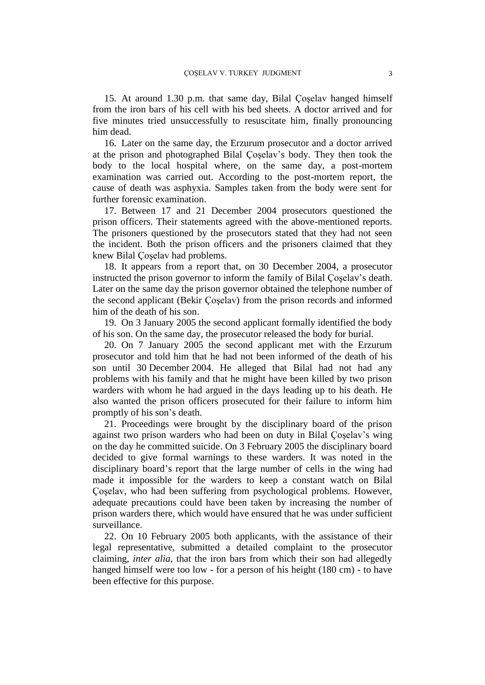15. At around 1.30 p.m. that same day, Bilal Çoşelav hanged himself from the iron bars of his cell with his bed sheets. A doctor arrived and for five minutes tried unsuccessfully to resuscitate him, finally pronouncing him dead.

16. Later on the same day, the Erzurum prosecutor and a doctor arrived at the prison and photographed Bilal Çoşelav's body. They then took the body to the local hospital where, on the same day, a post-mortem examination was carried out. According to the post-mortem report, the cause of death was asphyxia. Samples taken from the body were sent for further forensic examination.

17. Between 17 and 21 December 2004 prosecutors questioned the prison officers. Their statements agreed with the above-mentioned reports. The prisoners questioned by the prosecutors stated that they had not seen the incident. Both the prison officers and the prisoners claimed that they knew Bilal Çoşelav had problems.

18. It appears from a report that, on 30 December 2004, a prosecutor instructed the prison governor to inform the family of Bilal Çoşelav's death. Later on the same day the prison governor obtained the telephone number of the second applicant (Bekir Çoşelav) from the prison records and informed him of the death of his son.

19. On 3 January 2005 the second applicant formally identified the body of his son. On the same day, the prosecutor released the body for burial.

20. On 7 January 2005 the second applicant met with the Erzurum prosecutor and told him that he had not been informed of the death of his son until 30 December 2004. He alleged that Bilal had not had any problems with his family and that he might have been killed by two prison warders with whom he had argued in the days leading up to his death. He also wanted the prison officers prosecuted for their failure to inform him promptly of his son's death.

21. Proceedings were brought by the disciplinary board of the prison against two prison warders who had been on duty in Bilal Çoşelav's wing on the day he committed suicide. On 3 February 2005 the disciplinary board decided to give formal warnings to these warders. It was noted in the disciplinary board's report that the large number of cells in the wing had made it impossible for the warders to keep a constant watch on Bilal Çoşelav, who had been suffering from psychological problems. However, adequate precautions could have been taken by increasing the number of prison warders there, which would have ensured that he was under sufficient surveillance.

22. On 10 February 2005 both applicants, with the assistance of their legal representative, submitted a detailed complaint to the prosecutor claiming, *inter alia*, that the iron bars from which their son had allegedly hanged himself were too low - for a person of his height (180 cm) - to have been effective for this purpose.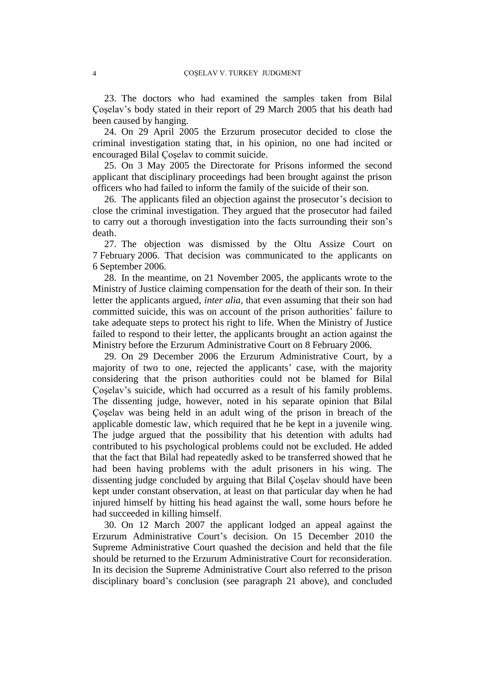23. The doctors who had examined the samples taken from Bilal Çoşelav's body stated in their report of 29 March 2005 that his death had been caused by hanging.

24. On 29 April 2005 the Erzurum prosecutor decided to close the criminal investigation stating that, in his opinion, no one had incited or encouraged Bilal Çoşelav to commit suicide.

25. On 3 May 2005 the Directorate for Prisons informed the second applicant that disciplinary proceedings had been brought against the prison officers who had failed to inform the family of the suicide of their son.

26. The applicants filed an objection against the prosecutor's decision to close the criminal investigation. They argued that the prosecutor had failed to carry out a thorough investigation into the facts surrounding their son's death.

27. The objection was dismissed by the Oltu Assize Court on 7 February 2006. That decision was communicated to the applicants on 6 September 2006.

28. In the meantime, on 21 November 2005, the applicants wrote to the Ministry of Justice claiming compensation for the death of their son. In their letter the applicants argued, *inter alia*, that even assuming that their son had committed suicide, this was on account of the prison authorities' failure to take adequate steps to protect his right to life. When the Ministry of Justice failed to respond to their letter, the applicants brought an action against the Ministry before the Erzurum Administrative Court on 8 February 2006.

29. On 29 December 2006 the Erzurum Administrative Court, by a majority of two to one, rejected the applicants' case, with the majority considering that the prison authorities could not be blamed for Bilal Coselav's suicide, which had occurred as a result of his family problems. The dissenting judge, however, noted in his separate opinion that Bilal Çoşelav was being held in an adult wing of the prison in breach of the applicable domestic law, which required that he be kept in a juvenile wing. The judge argued that the possibility that his detention with adults had contributed to his psychological problems could not be excluded. He added that the fact that Bilal had repeatedly asked to be transferred showed that he had been having problems with the adult prisoners in his wing. The dissenting judge concluded by arguing that Bilal Çoşelav should have been kept under constant observation, at least on that particular day when he had injured himself by hitting his head against the wall, some hours before he had succeeded in killing himself.

30. On 12 March 2007 the applicant lodged an appeal against the Erzurum Administrative Court's decision. On 15 December 2010 the Supreme Administrative Court quashed the decision and held that the file should be returned to the Erzurum Administrative Court for reconsideration. In its decision the Supreme Administrative Court also referred to the prison disciplinary board's conclusion (see paragraph 21 above), and concluded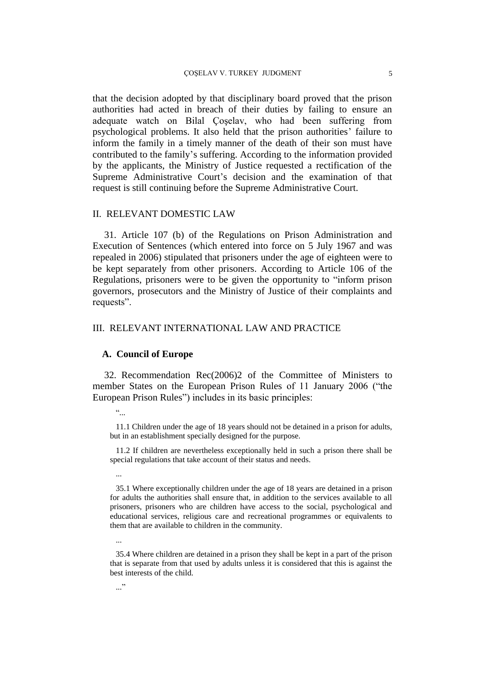that the decision adopted by that disciplinary board proved that the prison authorities had acted in breach of their duties by failing to ensure an adequate watch on Bilal Çoşelav, who had been suffering from psychological problems. It also held that the prison authorities' failure to inform the family in a timely manner of the death of their son must have contributed to the family's suffering. According to the information provided by the applicants, the Ministry of Justice requested a rectification of the Supreme Administrative Court's decision and the examination of that request is still continuing before the Supreme Administrative Court.

#### II. RELEVANT DOMESTIC LAW

31. Article 107 (b) of the Regulations on Prison Administration and Execution of Sentences (which entered into force on 5 July 1967 and was repealed in 2006) stipulated that prisoners under the age of eighteen were to be kept separately from other prisoners. According to Article 106 of the Regulations, prisoners were to be given the opportunity to "inform prison governors, prosecutors and the Ministry of Justice of their complaints and requests".

# III. RELEVANT INTERNATIONAL LAW AND PRACTICE

#### **A. Council of Europe**

32. Recommendation Rec(2006)2 of the Committee of Ministers to member States on the European Prison Rules of 11 January 2006 ("the European Prison Rules") includes in its basic principles:

11.1 Children under the age of 18 years should not be detained in a prison for adults, but in an establishment specially designed for the purpose.

11.2 If children are nevertheless exceptionally held in such a prison there shall be special regulations that take account of their status and needs.

...

35.1 Where exceptionally children under the age of 18 years are detained in a prison for adults the authorities shall ensure that, in addition to the services available to all prisoners, prisoners who are children have access to the social, psychological and educational services, religious care and recreational programmes or equivalents to them that are available to children in the community.

...

35.4 Where children are detained in a prison they shall be kept in a part of the prison that is separate from that used by adults unless it is considered that this is against the best interests of the child.

 $\ddot{\cdot}$  ...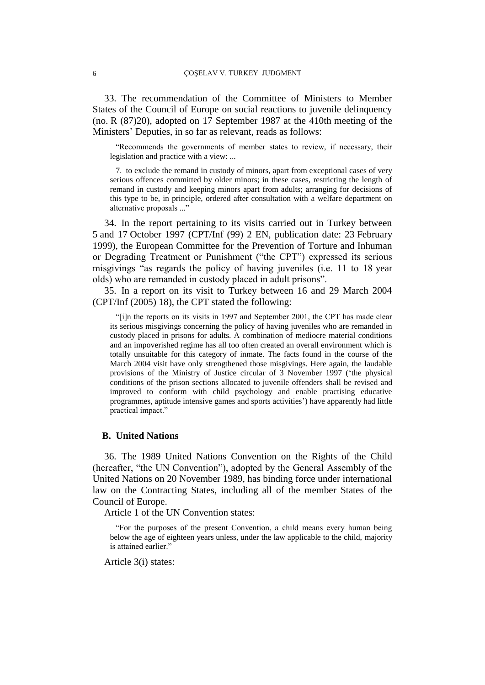33. The recommendation of the Committee of Ministers to Member States of the Council of Europe on social reactions to juvenile delinquency (no. R (87)20), adopted on 17 September 1987 at the 410th meeting of the Ministers' Deputies, in so far as relevant, reads as follows:

"Recommends the governments of member states to review, if necessary, their legislation and practice with a view: ...

7. to exclude the remand in custody of minors, apart from exceptional cases of very serious offences committed by older minors; in these cases, restricting the length of remand in custody and keeping minors apart from adults; arranging for decisions of this type to be, in principle, ordered after consultation with a welfare department on alternative proposals ..."

34. In the report pertaining to its visits carried out in Turkey between 5 and 17 October 1997 (CPT/Inf (99) 2 EN, publication date: 23 February 1999), the European Committee for the Prevention of Torture and Inhuman or Degrading Treatment or Punishment ("the CPT") expressed its serious misgivings "as regards the policy of having juveniles (i.e. 11 to 18 year olds) who are remanded in custody placed in adult prisons".

35. In a report on its visit to Turkey between 16 and 29 March 2004 (CPT/Inf (2005) 18), the CPT stated the following:

"[i]n the reports on its visits in 1997 and September 2001, the CPT has made clear its serious misgivings concerning the policy of having juveniles who are remanded in custody placed in prisons for adults. A combination of mediocre material conditions and an impoverished regime has all too often created an overall environment which is totally unsuitable for this category of inmate. The facts found in the course of the March 2004 visit have only strengthened those misgivings. Here again, the laudable provisions of the Ministry of Justice circular of 3 November 1997 ('the physical conditions of the prison sections allocated to juvenile offenders shall be revised and improved to conform with child psychology and enable practising educative programmes, aptitude intensive games and sports activities') have apparently had little practical impact."

#### **B. United Nations**

36. The 1989 United Nations Convention on the Rights of the Child (hereafter, "the UN Convention"), adopted by the General Assembly of the United Nations on 20 November 1989, has binding force under international law on the Contracting States, including all of the member States of the Council of Europe.

Article 1 of the UN Convention states:

"For the purposes of the present Convention, a child means every human being below the age of eighteen years unless, under the law applicable to the child, majority is attained earlier."

Article 3(i) states: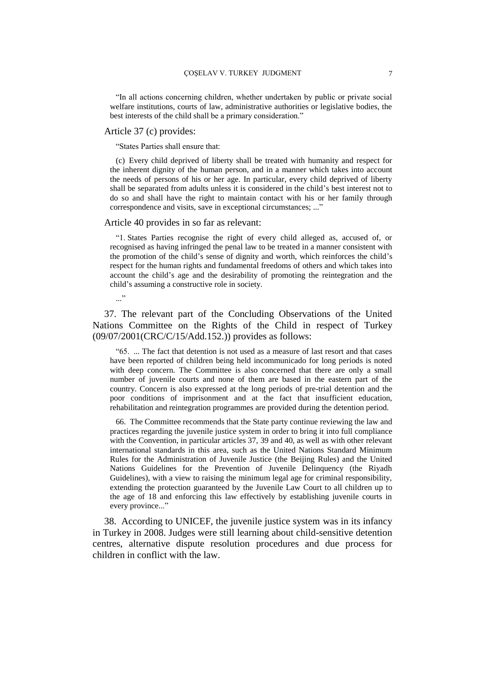"In all actions concerning children, whether undertaken by public or private social welfare institutions, courts of law, administrative authorities or legislative bodies, the best interests of the child shall be a primary consideration."

#### Article 37 (c) provides:

"States Parties shall ensure that:

(c) Every child deprived of liberty shall be treated with humanity and respect for the inherent dignity of the human person, and in a manner which takes into account the needs of persons of his or her age. In particular, every child deprived of liberty shall be separated from adults unless it is considered in the child's best interest not to do so and shall have the right to maintain contact with his or her family through correspondence and visits, save in exceptional circumstances; ..."

#### Article 40 provides in so far as relevant:

"1. States Parties recognise the right of every child alleged as, accused of, or recognised as having infringed the penal law to be treated in a manner consistent with the promotion of the child's sense of dignity and worth, which reinforces the child's respect for the human rights and fundamental freedoms of others and which takes into account the child's age and the desirability of promoting the reintegration and the child's assuming a constructive role in society.

..."

37. The relevant part of the Concluding Observations of the United Nations Committee on the Rights of the Child in respect of Turkey (09/07/2001(CRC/C/15/Add.152.)) provides as follows:

"65. ... The fact that detention is not used as a measure of last resort and that cases have been reported of children being held incommunicado for long periods is noted with deep concern. The Committee is also concerned that there are only a small number of juvenile courts and none of them are based in the eastern part of the country. Concern is also expressed at the long periods of pre-trial detention and the poor conditions of imprisonment and at the fact that insufficient education, rehabilitation and reintegration programmes are provided during the detention period.

66. The Committee recommends that the State party continue reviewing the law and practices regarding the juvenile justice system in order to bring it into full compliance with the Convention, in particular articles 37, 39 and 40, as well as with other relevant international standards in this area, such as the United Nations Standard Minimum Rules for the Administration of Juvenile Justice (the Beijing Rules) and the United Nations Guidelines for the Prevention of Juvenile Delinquency (the Riyadh Guidelines), with a view to raising the minimum legal age for criminal responsibility, extending the protection guaranteed by the Juvenile Law Court to all children up to the age of 18 and enforcing this law effectively by establishing juvenile courts in every province..."

38. According to UNICEF, the juvenile justice system was in its infancy in Turkey in 2008. Judges were still learning about child-sensitive detention centres, alternative dispute resolution procedures and due process for children in conflict with the law.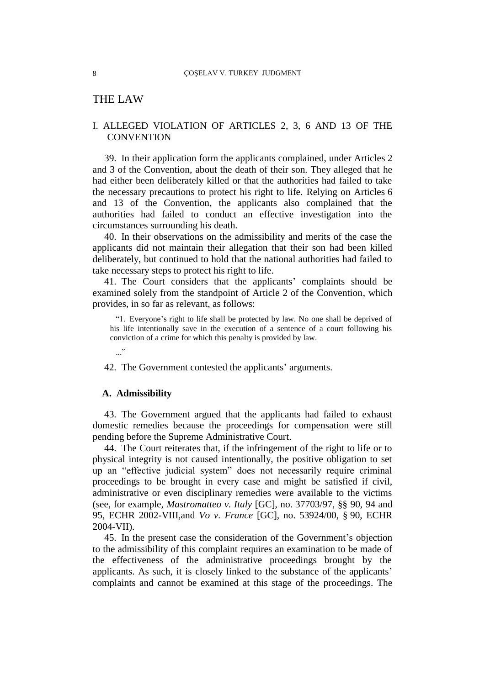# THE LAW

## I. ALLEGED VIOLATION OF ARTICLES 2, 3, 6 AND 13 OF THE **CONVENTION**

39. In their application form the applicants complained, under Articles 2 and 3 of the Convention, about the death of their son. They alleged that he had either been deliberately killed or that the authorities had failed to take the necessary precautions to protect his right to life. Relying on Articles 6 and 13 of the Convention, the applicants also complained that the authorities had failed to conduct an effective investigation into the circumstances surrounding his death.

40. In their observations on the admissibility and merits of the case the applicants did not maintain their allegation that their son had been killed deliberately, but continued to hold that the national authorities had failed to take necessary steps to protect his right to life.

41. The Court considers that the applicants' complaints should be examined solely from the standpoint of Article 2 of the Convention, which provides, in so far as relevant, as follows:

"1. Everyone's right to life shall be protected by law. No one shall be deprived of his life intentionally save in the execution of a sentence of a court following his conviction of a crime for which this penalty is provided by law.

42. The Government contested the applicants' arguments.

#### **A. Admissibility**

 $\cdot$ ..."

43. The Government argued that the applicants had failed to exhaust domestic remedies because the proceedings for compensation were still pending before the Supreme Administrative Court.

44. The Court reiterates that, if the infringement of the right to life or to physical integrity is not caused intentionally, the positive obligation to set up an "effective judicial system" does not necessarily require criminal proceedings to be brought in every case and might be satisfied if civil, administrative or even disciplinary remedies were available to the victims (see, for example, *Mastromatteo v. Italy* [GC], no. 37703/97, §§ 90, 94 and 95, ECHR 2002-VIII,and *Vo v. France* [GC], no. 53924/00, § 90, ECHR 2004-VII).

45. In the present case the consideration of the Government's objection to the admissibility of this complaint requires an examination to be made of the effectiveness of the administrative proceedings brought by the applicants. As such, it is closely linked to the substance of the applicants' complaints and cannot be examined at this stage of the proceedings. The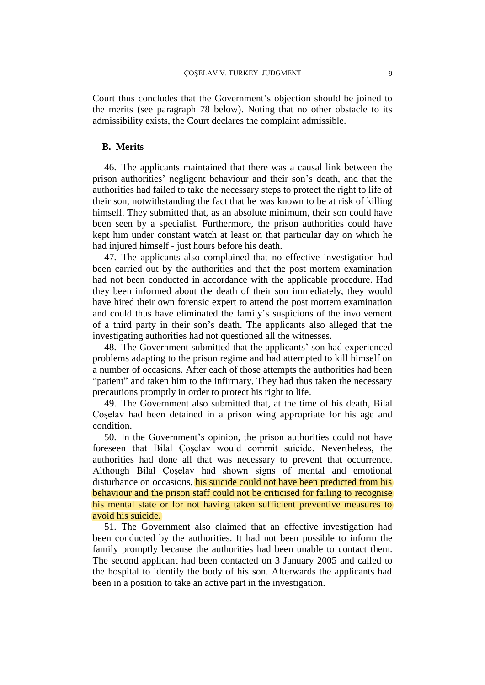Court thus concludes that the Government's objection should be joined to the merits (see paragraph 78 below). Noting that no other obstacle to its admissibility exists, the Court declares the complaint admissible.

## **B. Merits**

46. The applicants maintained that there was a causal link between the prison authorities' negligent behaviour and their son's death, and that the authorities had failed to take the necessary steps to protect the right to life of their son, notwithstanding the fact that he was known to be at risk of killing himself. They submitted that, as an absolute minimum, their son could have been seen by a specialist. Furthermore, the prison authorities could have kept him under constant watch at least on that particular day on which he had injured himself - just hours before his death.

47. The applicants also complained that no effective investigation had been carried out by the authorities and that the post mortem examination had not been conducted in accordance with the applicable procedure. Had they been informed about the death of their son immediately, they would have hired their own forensic expert to attend the post mortem examination and could thus have eliminated the family's suspicions of the involvement of a third party in their son's death. The applicants also alleged that the investigating authorities had not questioned all the witnesses.

48. The Government submitted that the applicants' son had experienced problems adapting to the prison regime and had attempted to kill himself on a number of occasions. After each of those attempts the authorities had been "patient" and taken him to the infirmary. They had thus taken the necessary precautions promptly in order to protect his right to life.

49. The Government also submitted that, at the time of his death, Bilal Çoşelav had been detained in a prison wing appropriate for his age and condition.

50. In the Government's opinion, the prison authorities could not have foreseen that Bilal Çoşelav would commit suicide. Nevertheless, the authorities had done all that was necessary to prevent that occurrence. Although Bilal Çoşelav had shown signs of mental and emotional disturbance on occasions, his suicide could not have been predicted from his behaviour and the prison staff could not be criticised for failing to recognise his mental state or for not having taken sufficient preventive measures to avoid his suicide.

51. The Government also claimed that an effective investigation had been conducted by the authorities. It had not been possible to inform the family promptly because the authorities had been unable to contact them. The second applicant had been contacted on 3 January 2005 and called to the hospital to identify the body of his son. Afterwards the applicants had been in a position to take an active part in the investigation.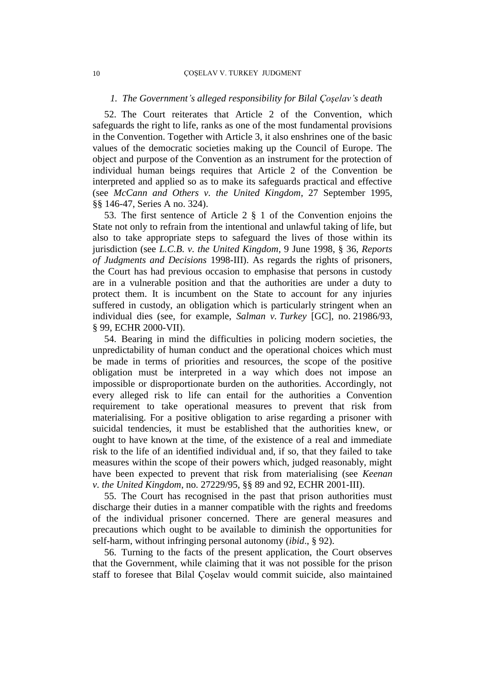#### *1. The Government's alleged responsibility for Bilal Çoşelav's death*

52. The Court reiterates that Article 2 of the Convention, which safeguards the right to life, ranks as one of the most fundamental provisions in the Convention. Together with Article 3, it also enshrines one of the basic values of the democratic societies making up the Council of Europe. The object and purpose of the Convention as an instrument for the protection of individual human beings requires that Article 2 of the Convention be interpreted and applied so as to make its safeguards practical and effective (see *McCann and Others v. the United Kingdom*, 27 September 1995, §§ 146-47, Series A no. 324).

53. The first sentence of Article 2 § 1 of the Convention enjoins the State not only to refrain from the intentional and unlawful taking of life, but also to take appropriate steps to safeguard the lives of those within its jurisdiction (see *L.C.B. v. the United Kingdom*, 9 June 1998, § 36, *Reports of Judgments and Decisions* 1998-III). As regards the rights of prisoners, the Court has had previous occasion to emphasise that persons in custody are in a vulnerable position and that the authorities are under a duty to protect them. It is incumbent on the State to account for any injuries suffered in custody, an obligation which is particularly stringent when an individual dies (see, for example, *Salman v. Turkey* [GC], no. 21986/93, § 99, ECHR 2000-VII).

54. Bearing in mind the difficulties in policing modern societies, the unpredictability of human conduct and the operational choices which must be made in terms of priorities and resources, the scope of the positive obligation must be interpreted in a way which does not impose an impossible or disproportionate burden on the authorities. Accordingly, not every alleged risk to life can entail for the authorities a Convention requirement to take operational measures to prevent that risk from materialising. For a positive obligation to arise regarding a prisoner with suicidal tendencies, it must be established that the authorities knew, or ought to have known at the time, of the existence of a real and immediate risk to the life of an identified individual and, if so, that they failed to take measures within the scope of their powers which, judged reasonably, might have been expected to prevent that risk from materialising (see *Keenan v. the United Kingdom*, no. 27229/95, §§ 89 and 92, ECHR 2001-III).

55. The Court has recognised in the past that prison authorities must discharge their duties in a manner compatible with the rights and freedoms of the individual prisoner concerned. There are general measures and precautions which ought to be available to diminish the opportunities for self-harm, without infringing personal autonomy (*ibid*., § 92).

56. Turning to the facts of the present application, the Court observes that the Government, while claiming that it was not possible for the prison staff to foresee that Bilal Çoşelav would commit suicide, also maintained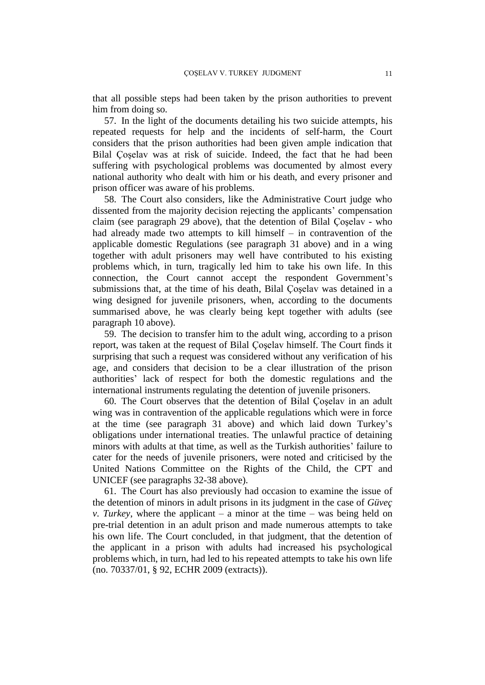that all possible steps had been taken by the prison authorities to prevent him from doing so.

57. In the light of the documents detailing his two suicide attempts, his repeated requests for help and the incidents of self-harm, the Court considers that the prison authorities had been given ample indication that Bilal Çoşelav was at risk of suicide. Indeed, the fact that he had been suffering with psychological problems was documented by almost every national authority who dealt with him or his death, and every prisoner and prison officer was aware of his problems.

58. The Court also considers, like the Administrative Court judge who dissented from the majority decision rejecting the applicants' compensation claim (see paragraph 29 above), that the detention of Bilal Çoşelav - who had already made two attempts to kill himself – in contravention of the applicable domestic Regulations (see paragraph 31 above) and in a wing together with adult prisoners may well have contributed to his existing problems which, in turn, tragically led him to take his own life. In this connection, the Court cannot accept the respondent Government's submissions that, at the time of his death, Bilal Çoşelav was detained in a wing designed for juvenile prisoners, when, according to the documents summarised above, he was clearly being kept together with adults (see paragraph 10 above).

59. The decision to transfer him to the adult wing, according to a prison report, was taken at the request of Bilal Çoşelav himself. The Court finds it surprising that such a request was considered without any verification of his age, and considers that decision to be a clear illustration of the prison authorities' lack of respect for both the domestic regulations and the international instruments regulating the detention of juvenile prisoners.

60. The Court observes that the detention of Bilal Çoşelav in an adult wing was in contravention of the applicable regulations which were in force at the time (see paragraph 31 above) and which laid down Turkey's obligations under international treaties. The unlawful practice of detaining minors with adults at that time, as well as the Turkish authorities' failure to cater for the needs of juvenile prisoners, were noted and criticised by the United Nations Committee on the Rights of the Child, the CPT and UNICEF (see paragraphs 32-38 above).

61. The Court has also previously had occasion to examine the issue of the detention of minors in adult prisons in its judgment in the case of *Güveç v. Turkey*, where the applicant – a minor at the time – was being held on pre-trial detention in an adult prison and made numerous attempts to take his own life. The Court concluded, in that judgment, that the detention of the applicant in a prison with adults had increased his psychological problems which, in turn, had led to his repeated attempts to take his own life (no. 70337/01, § 92, ECHR 2009 (extracts)).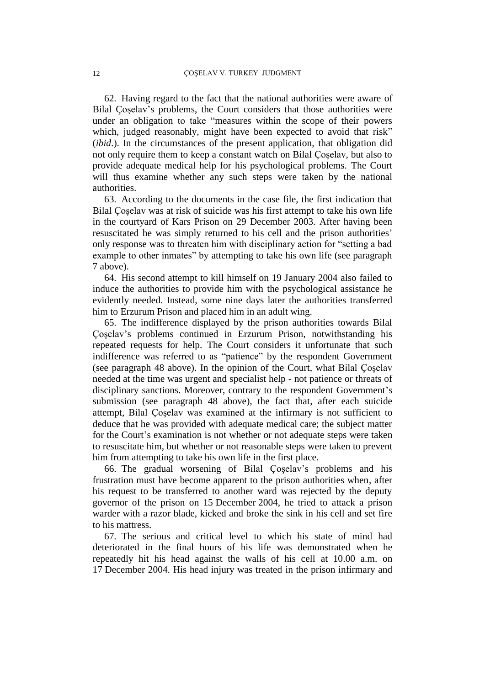62. Having regard to the fact that the national authorities were aware of Bilal Çoşelav's problems, the Court considers that those authorities were under an obligation to take "measures within the scope of their powers which, judged reasonably, might have been expected to avoid that risk" (*ibid*.). In the circumstances of the present application, that obligation did not only require them to keep a constant watch on Bilal Çoşelav, but also to provide adequate medical help for his psychological problems. The Court will thus examine whether any such steps were taken by the national authorities.

63. According to the documents in the case file, the first indication that Bilal Çoşelav was at risk of suicide was his first attempt to take his own life in the courtyard of Kars Prison on 29 December 2003. After having been resuscitated he was simply returned to his cell and the prison authorities' only response was to threaten him with disciplinary action for "setting a bad example to other inmates" by attempting to take his own life (see paragraph 7 above).

64. His second attempt to kill himself on 19 January 2004 also failed to induce the authorities to provide him with the psychological assistance he evidently needed. Instead, some nine days later the authorities transferred him to Erzurum Prison and placed him in an adult wing.

65. The indifference displayed by the prison authorities towards Bilal Çoşelav's problems continued in Erzurum Prison, notwithstanding his repeated requests for help. The Court considers it unfortunate that such indifference was referred to as "patience" by the respondent Government (see paragraph 48 above). In the opinion of the Court, what Bilal Çoşelav needed at the time was urgent and specialist help - not patience or threats of disciplinary sanctions. Moreover, contrary to the respondent Government's submission (see paragraph 48 above), the fact that, after each suicide attempt, Bilal Çoşelav was examined at the infirmary is not sufficient to deduce that he was provided with adequate medical care; the subject matter for the Court's examination is not whether or not adequate steps were taken to resuscitate him, but whether or not reasonable steps were taken to prevent him from attempting to take his own life in the first place.

66. The gradual worsening of Bilal Çoşelav's problems and his frustration must have become apparent to the prison authorities when, after his request to be transferred to another ward was rejected by the deputy governor of the prison on 15 December 2004, he tried to attack a prison warder with a razor blade, kicked and broke the sink in his cell and set fire to his mattress.

67. The serious and critical level to which his state of mind had deteriorated in the final hours of his life was demonstrated when he repeatedly hit his head against the walls of his cell at 10.00 a.m. on 17 December 2004. His head injury was treated in the prison infirmary and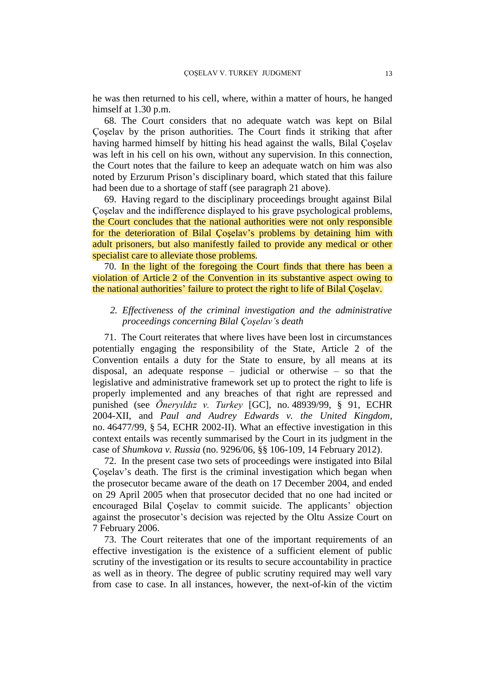he was then returned to his cell, where, within a matter of hours, he hanged himself at 1.30 p.m.

68. The Court considers that no adequate watch was kept on Bilal Çoşelav by the prison authorities. The Court finds it striking that after having harmed himself by hitting his head against the walls, Bilal Çoşelav was left in his cell on his own, without any supervision. In this connection, the Court notes that the failure to keep an adequate watch on him was also noted by Erzurum Prison's disciplinary board, which stated that this failure had been due to a shortage of staff (see paragraph 21 above).

69. Having regard to the disciplinary proceedings brought against Bilal Çoşelav and the indifference displayed to his grave psychological problems, the Court concludes that the national authorities were not only responsible for the deterioration of Bilal Çoşelav's problems by detaining him with adult prisoners, but also manifestly failed to provide any medical or other specialist care to alleviate those problems.

70. In the light of the foregoing the Court finds that there has been a violation of Article 2 of the Convention in its substantive aspect owing to the national authorities' failure to protect the right to life of Bilal Çoşelav.

# *2. Effectiveness of the criminal investigation and the administrative proceedings concerning Bilal Çoşelav's death*

71. The Court reiterates that where lives have been lost in circumstances potentially engaging the responsibility of the State, Article 2 of the Convention entails a duty for the State to ensure, by all means at its disposal, an adequate response – judicial or otherwise – so that the legislative and administrative framework set up to protect the right to life is properly implemented and any breaches of that right are repressed and punished (see *Öneryıldız v. Turkey* [GC], no. 48939/99, § 91, ECHR 2004-XII, and *Paul and Audrey Edwards v. the United Kingdom*, no. 46477/99, § 54, ECHR 2002-II). What an effective investigation in this context entails was recently summarised by the Court in its judgment in the case of *Shumkova v. Russia* (no. 9296/06, §§ 106-109, 14 February 2012).

72. In the present case two sets of proceedings were instigated into Bilal Çoşelav's death. The first is the criminal investigation which began when the prosecutor became aware of the death on 17 December 2004, and ended on 29 April 2005 when that prosecutor decided that no one had incited or encouraged Bilal Çoşelav to commit suicide. The applicants' objection against the prosecutor's decision was rejected by the Oltu Assize Court on 7 February 2006.

73. The Court reiterates that one of the important requirements of an effective investigation is the existence of a sufficient element of public scrutiny of the investigation or its results to secure accountability in practice as well as in theory. The degree of public scrutiny required may well vary from case to case. In all instances, however, the next-of-kin of the victim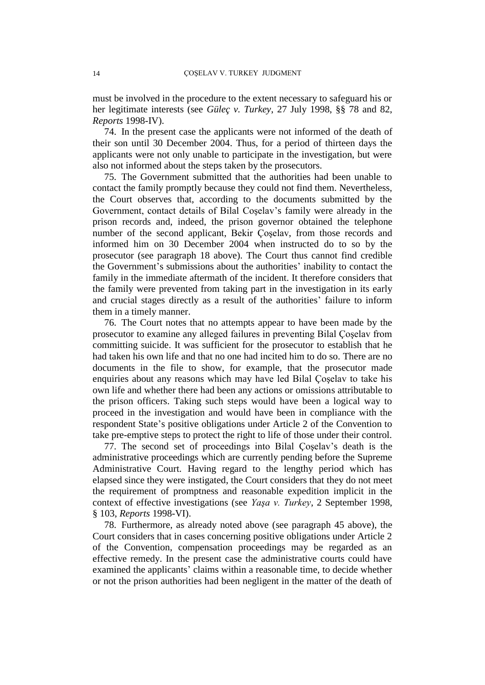must be involved in the procedure to the extent necessary to safeguard his or her legitimate interests (see *Güleç v. Turkey*, 27 July 1998, §§ 78 and 82, *Reports* 1998-IV).

74. In the present case the applicants were not informed of the death of their son until 30 December 2004. Thus, for a period of thirteen days the applicants were not only unable to participate in the investigation, but were also not informed about the steps taken by the prosecutors.

75. The Government submitted that the authorities had been unable to contact the family promptly because they could not find them. Nevertheless, the Court observes that, according to the documents submitted by the Government, contact details of Bilal Coşelav's family were already in the prison records and, indeed, the prison governor obtained the telephone number of the second applicant, Bekir Çoşelav, from those records and informed him on 30 December 2004 when instructed do to so by the prosecutor (see paragraph 18 above). The Court thus cannot find credible the Government's submissions about the authorities' inability to contact the family in the immediate aftermath of the incident. It therefore considers that the family were prevented from taking part in the investigation in its early and crucial stages directly as a result of the authorities' failure to inform them in a timely manner.

76. The Court notes that no attempts appear to have been made by the prosecutor to examine any alleged failures in preventing Bilal Çoşelav from committing suicide. It was sufficient for the prosecutor to establish that he had taken his own life and that no one had incited him to do so. There are no documents in the file to show, for example, that the prosecutor made enquiries about any reasons which may have led Bilal Çoşelav to take his own life and whether there had been any actions or omissions attributable to the prison officers. Taking such steps would have been a logical way to proceed in the investigation and would have been in compliance with the respondent State's positive obligations under Article 2 of the Convention to take pre-emptive steps to protect the right to life of those under their control.

77. The second set of proceedings into Bilal Çoşelav's death is the administrative proceedings which are currently pending before the Supreme Administrative Court. Having regard to the lengthy period which has elapsed since they were instigated, the Court considers that they do not meet the requirement of promptness and reasonable expedition implicit in the context of effective investigations (see *Yaşa v. Turkey*, 2 September 1998, § 103, *Reports* 1998-VI).

78. Furthermore, as already noted above (see paragraph 45 above), the Court considers that in cases concerning positive obligations under Article 2 of the Convention, compensation proceedings may be regarded as an effective remedy. In the present case the administrative courts could have examined the applicants' claims within a reasonable time, to decide whether or not the prison authorities had been negligent in the matter of the death of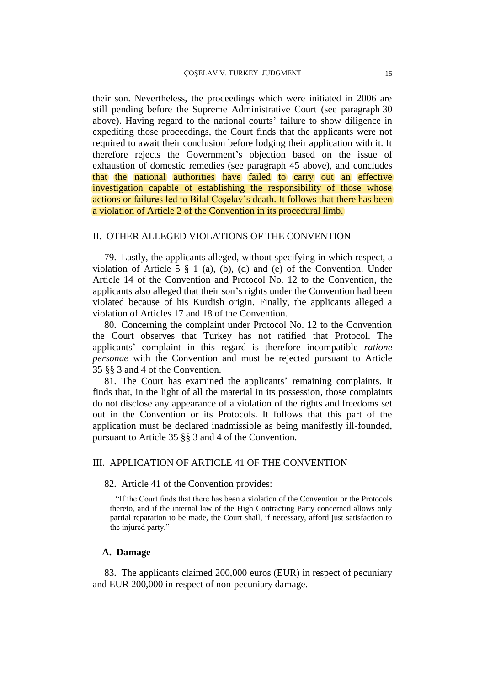their son. Nevertheless, the proceedings which were initiated in 2006 are still pending before the Supreme Administrative Court (see paragraph 30 above). Having regard to the national courts' failure to show diligence in expediting those proceedings, the Court finds that the applicants were not required to await their conclusion before lodging their application with it. It therefore rejects the Government's objection based on the issue of exhaustion of domestic remedies (see paragraph 45 above), and concludes that the national authorities have failed to carry out an effective investigation capable of establishing the responsibility of those whose actions or failures led to Bilal Coşelav's death. It follows that there has been a violation of Article 2 of the Convention in its procedural limb.

# II. OTHER ALLEGED VIOLATIONS OF THE CONVENTION

79. Lastly, the applicants alleged, without specifying in which respect, a violation of Article 5 § 1 (a), (b), (d) and (e) of the Convention. Under Article 14 of the Convention and Protocol No. 12 to the Convention, the applicants also alleged that their son's rights under the Convention had been violated because of his Kurdish origin. Finally, the applicants alleged a violation of Articles 17 and 18 of the Convention.

80. Concerning the complaint under Protocol No. 12 to the Convention the Court observes that Turkey has not ratified that Protocol. The applicants' complaint in this regard is therefore incompatible *ratione personae* with the Convention and must be rejected pursuant to Article 35 §§ 3 and 4 of the Convention.

81. The Court has examined the applicants' remaining complaints. It finds that, in the light of all the material in its possession, those complaints do not disclose any appearance of a violation of the rights and freedoms set out in the Convention or its Protocols. It follows that this part of the application must be declared inadmissible as being manifestly ill-founded, pursuant to Article 35 §§ 3 and 4 of the Convention.

# III. APPLICATION OF ARTICLE 41 OF THE CONVENTION

#### 82. Article 41 of the Convention provides:

"If the Court finds that there has been a violation of the Convention or the Protocols thereto, and if the internal law of the High Contracting Party concerned allows only partial reparation to be made, the Court shall, if necessary, afford just satisfaction to the injured party."

#### **A. Damage**

83. The applicants claimed 200,000 euros (EUR) in respect of pecuniary and EUR 200,000 in respect of non-pecuniary damage.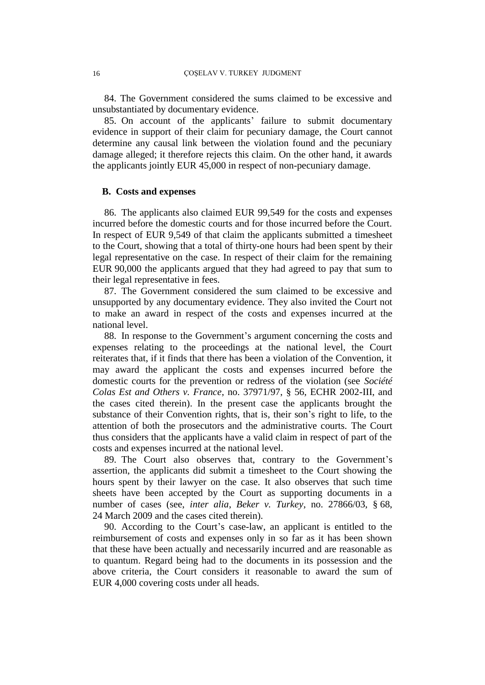84. The Government considered the sums claimed to be excessive and unsubstantiated by documentary evidence.

85. On account of the applicants' failure to submit documentary evidence in support of their claim for pecuniary damage, the Court cannot determine any causal link between the violation found and the pecuniary damage alleged; it therefore rejects this claim. On the other hand, it awards the applicants jointly EUR 45,000 in respect of non-pecuniary damage.

#### **B. Costs and expenses**

86. The applicants also claimed EUR 99,549 for the costs and expenses incurred before the domestic courts and for those incurred before the Court. In respect of EUR 9,549 of that claim the applicants submitted a timesheet to the Court, showing that a total of thirty-one hours had been spent by their legal representative on the case. In respect of their claim for the remaining EUR 90,000 the applicants argued that they had agreed to pay that sum to their legal representative in fees.

87. The Government considered the sum claimed to be excessive and unsupported by any documentary evidence. They also invited the Court not to make an award in respect of the costs and expenses incurred at the national level.

88. In response to the Government's argument concerning the costs and expenses relating to the proceedings at the national level, the Court reiterates that, if it finds that there has been a violation of the Convention, it may award the applicant the costs and expenses incurred before the domestic courts for the prevention or redress of the violation (see *Société Colas Est and Others v. France*, no. 37971/97, § 56, ECHR 2002-III, and the cases cited therein). In the present case the applicants brought the substance of their Convention rights, that is, their son's right to life, to the attention of both the prosecutors and the administrative courts. The Court thus considers that the applicants have a valid claim in respect of part of the costs and expenses incurred at the national level.

89. The Court also observes that, contrary to the Government's assertion, the applicants did submit a timesheet to the Court showing the hours spent by their lawyer on the case. It also observes that such time sheets have been accepted by the Court as supporting documents in a number of cases (see, *inter alia*, *Beker v. Turkey*, no. 27866/03, § 68, 24 March 2009 and the cases cited therein).

90. According to the Court's case-law, an applicant is entitled to the reimbursement of costs and expenses only in so far as it has been shown that these have been actually and necessarily incurred and are reasonable as to quantum. Regard being had to the documents in its possession and the above criteria, the Court considers it reasonable to award the sum of EUR 4,000 covering costs under all heads.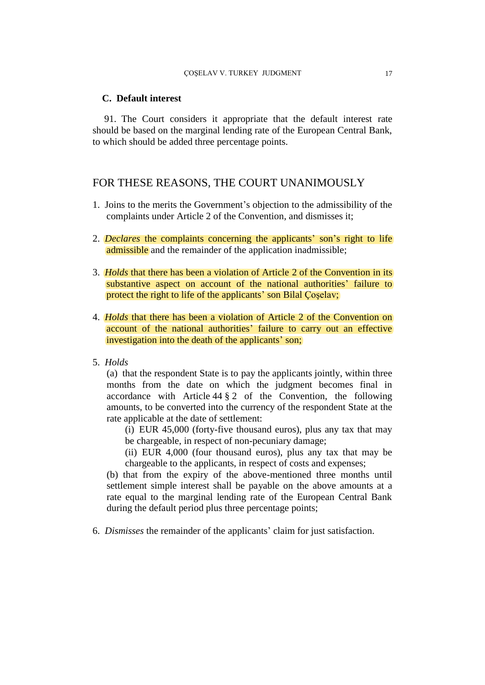#### **C. Default interest**

91. The Court considers it appropriate that the default interest rate should be based on the marginal lending rate of the European Central Bank, to which should be added three percentage points.

# FOR THESE REASONS, THE COURT UNANIMOUSLY

- 1. Joins to the merits the Government's objection to the admissibility of the complaints under Article 2 of the Convention, and dismisses it;
- 2. *Declares* the complaints concerning the applicants' son's right to life admissible and the remainder of the application inadmissible;
- 3. *Holds* that there has been a violation of Article 2 of the Convention in its substantive aspect on account of the national authorities' failure to protect the right to life of the applicants' son Bilal Çoşelav;
- 4. *Holds* that there has been a violation of Article 2 of the Convention on account of the national authorities' failure to carry out an effective investigation into the death of the applicants' son;
- 5. *Holds*

(a) that the respondent State is to pay the applicants jointly, within three months from the date on which the judgment becomes final in accordance with Article  $44 \tbinom{8}{2}$  of the Convention, the following amounts, to be converted into the currency of the respondent State at the rate applicable at the date of settlement:

- (i) EUR 45,000 (forty-five thousand euros), plus any tax that may be chargeable, in respect of non-pecuniary damage;
- (ii) EUR 4,000 (four thousand euros), plus any tax that may be chargeable to the applicants, in respect of costs and expenses;

(b) that from the expiry of the above-mentioned three months until settlement simple interest shall be payable on the above amounts at a rate equal to the marginal lending rate of the European Central Bank during the default period plus three percentage points;

6. *Dismisses* the remainder of the applicants' claim for just satisfaction.